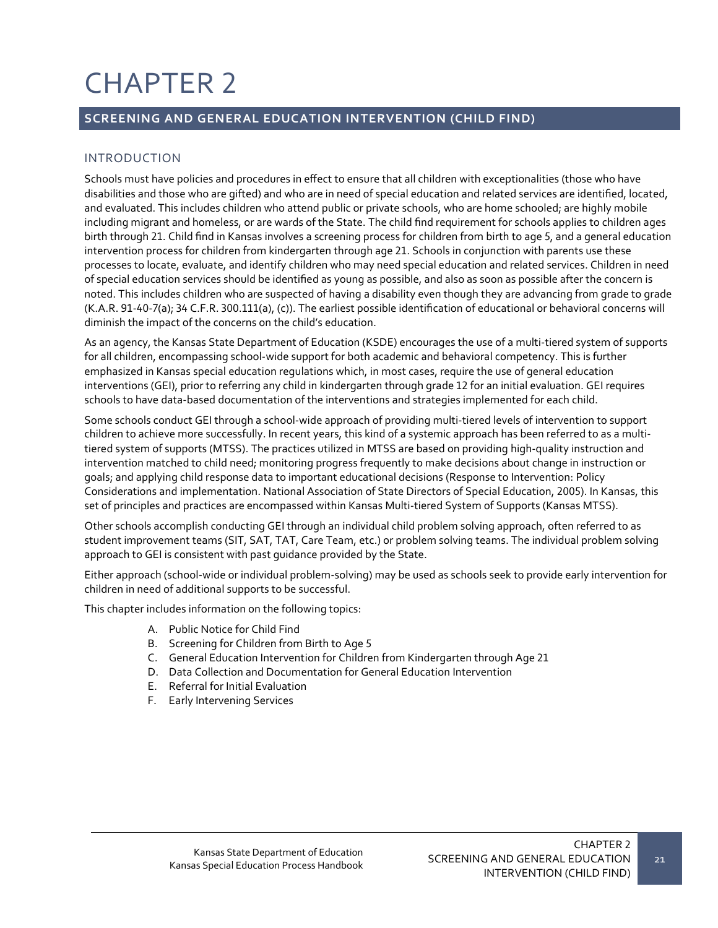# CHAPTER 2

# **SCREENING AND GENERAL EDUCATION INTERVENTION (CHILD FIND)**

# INTRODUCTION

Schools must have policies and procedures in effect to ensure that all children with exceptionalities (those who have disabilities and those who are gifted) and who are in need of special education and related services are identified, located, and evaluated. This includes children who attend public or private schools, who are home schooled; are highly mobile including migrant and homeless, or are wards of the State. The child find requirement for schools applies to children ages birth through 21. Child find in Kansas involves a screening process for children from birth to age 5, and a general education intervention process for children from kindergarten through age 21. Schools in conjunction with parents use these processes to locate, evaluate, and identify children who may need special education and related services. Children in need of special education services should be identified as young as possible, and also as soon as possible after the concern is noted. This includes children who are suspected of having a disability even though they are advancing from grade to grade (K.A.R. 91-40-7(a); 34 C.F.R. 300.111(a), (c)). The earliest possible identification of educational or behavioral concerns will diminish the impact of the concerns on the child's education.

As an agency, the Kansas State Department of Education (KSDE) encourages the use of a multi-tiered system of supports for all children, encompassing school-wide support for both academic and behavioral competency. This is further emphasized in Kansas special education regulations which, in most cases, require the use of general education interventions (GEI), prior to referring any child in kindergarten through grade 12 for an initial evaluation. GEI requires schools to have data-based documentation of the interventions and strategies implemented for each child.

Some schools conduct GEI through a school-wide approach of providing multi-tiered levels of intervention to support children to achieve more successfully. In recent years, this kind of a systemic approach has been referred to as a multitiered system of supports (MTSS). The practices utilized in MTSS are based on providing high-quality instruction and intervention matched to child need; monitoring progress frequently to make decisions about change in instruction or goals; and applying child response data to important educational decisions (Response to Intervention: Policy Considerations and implementation. National Association of State Directors of Special Education, 2005). In Kansas, this set of principles and practices are encompassed within Kansas Multi-tiered System of Supports (Kansas MTSS).

Other schools accomplish conducting GEI through an individual child problem solving approach, often referred to as student improvement teams (SIT, SAT, TAT, Care Team, etc.) or problem solving teams. The individual problem solving approach to GEI is consistent with past guidance provided by the State.

Either approach (school-wide or individual problem-solving) may be used as schools seek to provide early intervention for children in need of additional supports to be successful.

This chapter includes information on the following topics:

- A. Public Notice for Child Find
- B. Screening for Children from Birth to Age 5
- C. General Education Intervention for Children from Kindergarten through Age 21
- D. Data Collection and Documentation for General Education Intervention
- E. Referral for Initial Evaluation
- F. Early Intervening Services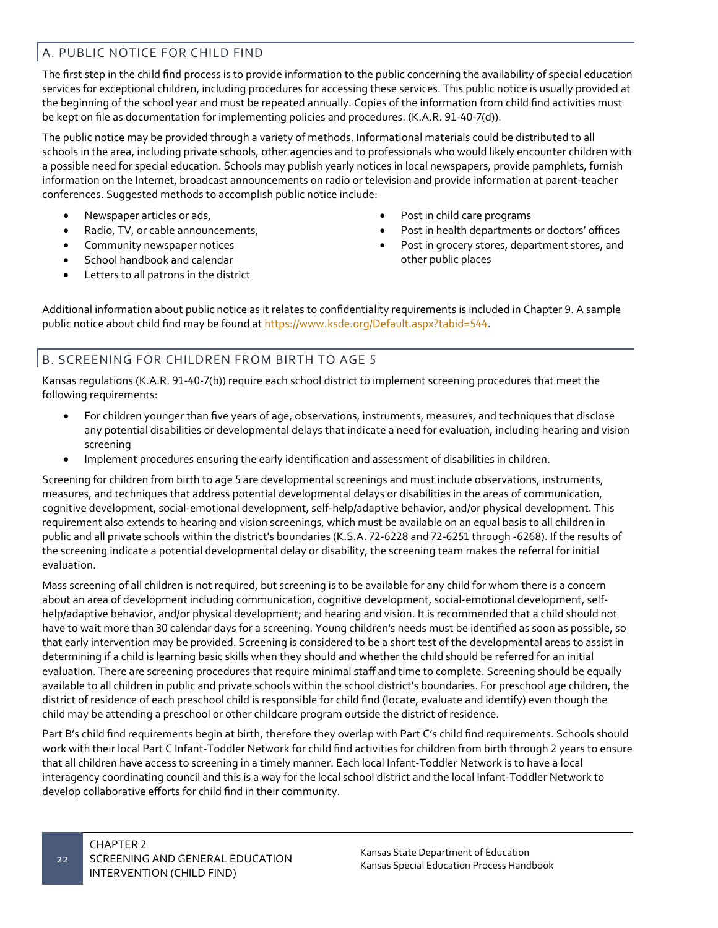# A. PUBLIC NOTICE FOR CHILD FIND

The first step in the child find process is to provide information to the public concerning the availability of special education services for exceptional children, including procedures for accessing these services. This public notice is usually provided at the beginning of the school year and must be repeated annually. Copies of the information from child find activities must be kept on file as documentation for implementing policies and procedures. (K.A.R. 91-40-7(d)).

The public notice may be provided through a variety of methods. Informational materials could be distributed to all schools in the area, including private schools, other agencies and to professionals who would likely encounter children with a possible need for special education. Schools may publish yearly notices in local newspapers, provide pamphlets, furnish information on the Internet, broadcast announcements on radio or television and provide information at parent-teacher conferences. Suggested methods to accomplish public notice include:

- Newspaper articles or ads,
- Radio, TV, or cable announcements,
- Community newspaper notices
- School handbook and calendar
- Letters to all patrons in the district
- Post in child care programs
- Post in health departments or doctors' offices
- Post in grocery stores, department stores, and other public places

Additional information about public notice as it relates to confidentiality requirements is included in Chapter 9. A sample public notice about child find may be found at <https://www.ksde.org/Default.aspx?tabid=544>.

# B. SCREENING FOR CHILDREN FROM BIRTH TO AGE 5

Kansas regulations (K.A.R. 91-40-7(b)) require each school district to implement screening procedures that meet the following requirements:

- For children younger than five years of age, observations, instruments, measures, and techniques that disclose any potential disabilities or developmental delays that indicate a need for evaluation, including hearing and vision screening
- Implement procedures ensuring the early identification and assessment of disabilities in children.

Screening for children from birth to age 5 are developmental screenings and must include observations, instruments, measures, and techniques that address potential developmental delays or disabilities in the areas of communication, cognitive development, social-emotional development, self-help/adaptive behavior, and/or physical development. This requirement also extends to hearing and vision screenings, which must be available on an equal basis to all children in public and all private schools within the district's boundaries (K.S.A. 72-6228 and 72-6251 through -6268). If the results of the screening indicate a potential developmental delay or disability, the screening team makes the referral for initial evaluation.

Mass screening of all children is not required, but screening is to be available for any child for whom there is a concern about an area of development including communication, cognitive development, social-emotional development, selfhelp/adaptive behavior, and/or physical development; and hearing and vision. It is recommended that a child should not have to wait more than 30 calendar days for a screening. Young children's needs must be identified as soon as possible, so that early intervention may be provided. Screening is considered to be a short test of the developmental areas to assist in determining if a child is learning basic skills when they should and whether the child should be referred for an initial evaluation. There are screening procedures that require minimal staff and time to complete. Screening should be equally available to all children in public and private schools within the school district's boundaries. For preschool age children, the district of residence of each preschool child is responsible for child find (locate, evaluate and identify) even though the child may be attending a preschool or other childcare program outside the district of residence.

Part B's child find requirements begin at birth, therefore they overlap with Part C's child find requirements. Schools should work with their local Part C Infant-Toddler Network for child find activities for children from birth through 2 years to ensure that all children have access to screening in a timely manner. Each local Infant-Toddler Network is to have a local interagency coordinating council and this is a way for the local school district and the local Infant-Toddler Network to develop collaborative efforts for child find in their community.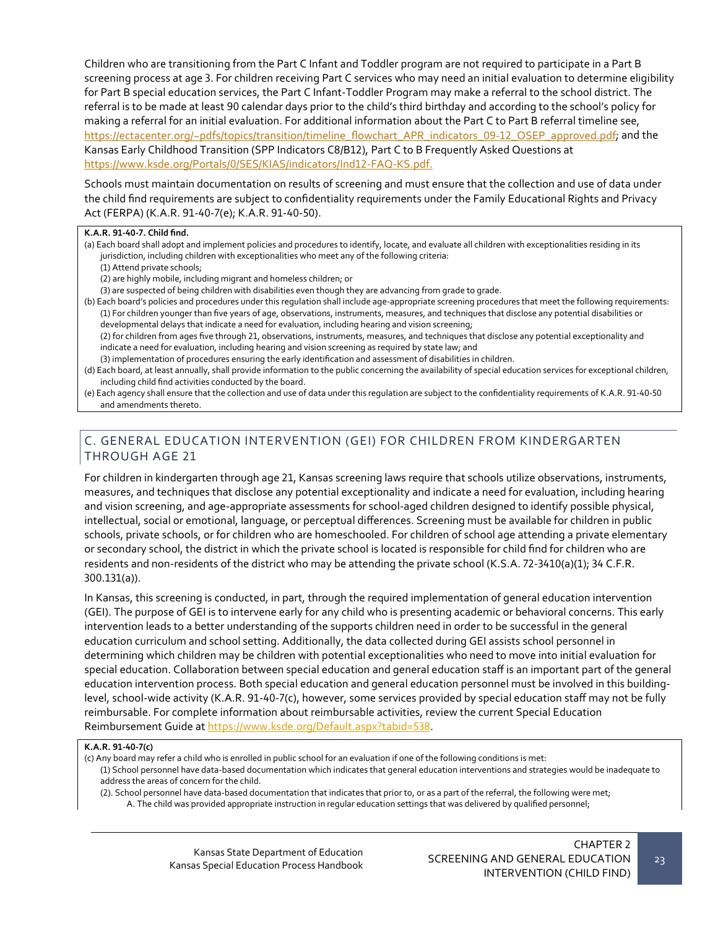Children who are transitioning from the Part C Infant and Toddler program are not required to participate in a Part B screening process at age 3. For children receiving Part C services who may need an initial evaluation to determine eligibility for Part B special education services, the Part C Infant-Toddler Program may make a referral to the school district. The referral is to be made at least 90 calendar days prior to the child's third birthday and according to the school's policy for making a referral for an initial evaluation. For additional information about the Part C to Part B referral timeline see, https[://ectacenter.org/~pdfs/topics/transition/timeline\\_flowchart\\_APR\\_indicators\\_09](https://ectacenter.org/%7Epdfs/topics/transition/timeline_flowchart_APR_indicators_09-12_OSEP_approved.pdf)-12\_OSEP\_approved.pdf; and the Kansas Early Childhood Transition (SPP Indicators C8/B12), Part C to B Frequently Asked Questions at [https://www.ksde.org/Portals/0/SES/KIAS/indicators/Ind12](https://www.ksde.org/Portals/0/SES/KIAS/indicators/Ind12-FAQ-KS.pdf)-FAQ-KS.pdf.

Schools must maintain documentation on results of screening and must ensure that the collection and use of data under the child find requirements are subject to confidentiality requirements under the Family Educational Rights and Privacy Act (FERPA) (K.A.R. 91-40-7(e); K.A.R. 91-40-50).

#### **K.A.R. 91-40-7. Child find.**

- (a) Each board shall adopt and implement policies and procedures to identify, locate, and evaluate all children with exceptionalities residing in its jurisdiction, including children with exceptionalities who meet any of the following criteria:
	- (1) Attend private schools;

(2) are highly mobile, including migrant and homeless children; or

(3) are suspected of being children with disabilities even though they are advancing from grade to grade.

- (b) Each board's policies and procedures under this regulation shall include age-appropriate screening procedures that meet the following requirements: (1) For children younger than five years of age, observations, instruments, measures, and techniques that disclose any potential disabilities or developmental delays that indicate a need for evaluation, including hearing and vision screening; (2) for children from ages five through 21, observations, instruments, measures, and techniques that disclose any potential exceptionality and indicate a need for evaluation, including hearing and vision screening as required by state law; and (3) implementation of procedures ensuring the early identification and assessment of disabilities in children.
- (d) Each board, at least annually, shall provide information to the public concerning the availability of special education services for exceptional children, including child find activities conducted by the board.
- (e) Each agency shall ensure that the collection and use of data under this regulation are subject to the confidentiality requirements of K.A.R. 91-40-50 and amendments thereto.

### C. GENERAL EDUCATION INTERVENTION (GEI) FOR CHILDREN FROM KINDERGARTEN THROUGH AGE 21

For children in kindergarten through age 21, Kansas screening laws require that schools utilize observations, instruments, measures, and techniques that disclose any potential exceptionality and indicate a need for evaluation, including hearing and vision screening, and age-appropriate assessments for school-aged children designed to identify possible physical, intellectual, social or emotional, language, or perceptual differences. Screening must be available for children in public schools, private schools, or for children who are homeschooled. For children of school age attending a private elementary or secondary school, the district in which the private school is located is responsible for child find for children who are residents and non-residents of the district who may be attending the private school (K.S.A. 72-3410(a)(1); 34 C.F.R. 300.131(a)).

In Kansas, this screening is conducted, in part, through the required implementation of general education intervention (GEI). The purpose of GEI is to intervene early for any child who is presenting academic or behavioral concerns. This early intervention leads to a better understanding of the supports children need in order to be successful in the general education curriculum and school setting. Additionally, the data collected during GEI assists school personnel in determining which children may be children with potential exceptionalities who need to move into initial evaluation for special education. Collaboration between special education and general education staff is an important part of the general education intervention process. Both special education and general education personnel must be involved in this buildinglevel, school-wide activity (K.A.R. 91-40-7(c), however, some services provided by special education staff may not be fully reimbursable. For complete information about reimbursable activities, review the current Special Education Reimbursement Guide at <https://www.ksde.org/Default.aspx?tabid=538>.

#### **K.A.R. 91-40-7(c)**

(c) Any board may refer a child who is enrolled in public school for an evaluation if one of the following conditions is met:

- (1) School personnel have data-based documentation which indicates that general education interventions and strategies would be inadequate to address the areas of concern for the child.
	- (2). School personnel have data-based documentation that indicates that prior to, or as a part of the referral, the following were met; A. The child was provided appropriate instruction in regular education settings that was delivered by qualified personnel;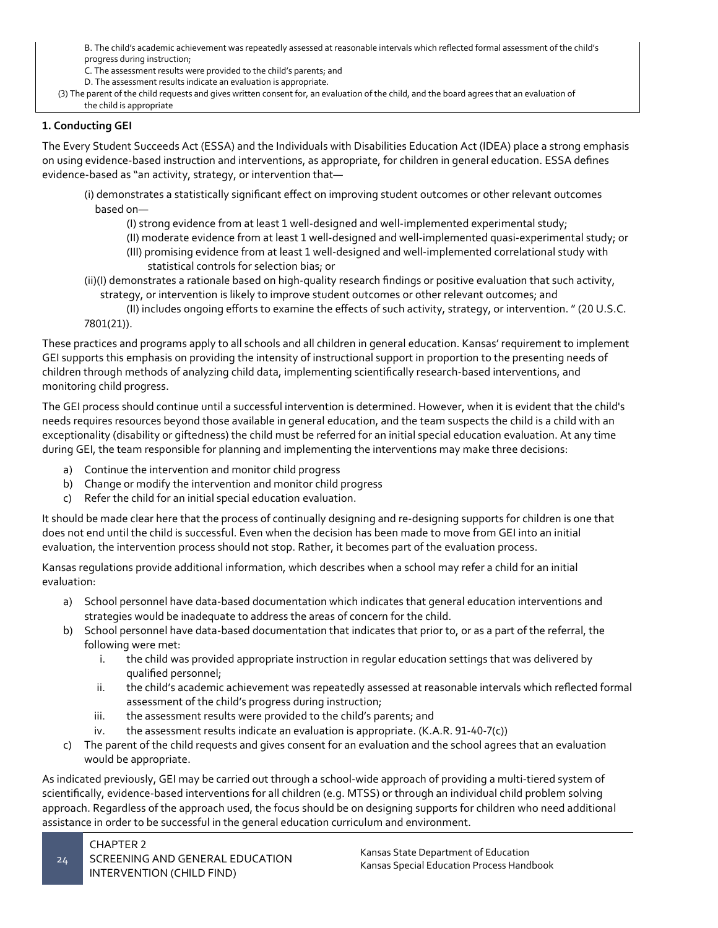B. The child's academic achievement was repeatedly assessed at reasonable intervals which reflected formal assessment of the child's progress during instruction;

C. The assessment results were provided to the child's parents; and

D. The assessment results indicate an evaluation is appropriate.

(3) The parent of the child requests and gives written consent for, an evaluation of the child, and the board agrees that an evaluation of the child is appropriate

# **1. Conducting GEI**

The Every Student Succeeds Act (ESSA) and the Individuals with Disabilities Education Act (IDEA) place a strong emphasis on using evidence-based instruction and interventions, as appropriate, for children in general education. ESSA defines evidence-based as "an activity, strategy, or intervention that—

- (i) demonstrates a statistically significant effect on improving student outcomes or other relevant outcomes based on—
	- (I) strong evidence from at least 1 well-designed and well-implemented experimental study;
	- (II) moderate evidence from at least 1 well-designed and well-implemented quasi-experimental study; or
	- (III) promising evidence from at least 1 well-designed and well-implemented correlational study with statistical controls for selection bias; or
- (ii)(I) demonstrates a rationale based on high-quality research findings or positive evaluation that such activity, strategy, or intervention is likely to improve student outcomes or other relevant outcomes; and
- (II) includes ongoing efforts to examine the effects of such activity, strategy, or intervention. " (20 U.S.C. 7801(21)).

These practices and programs apply to all schools and all children in general education. Kansas' requirement to implement GEI supports this emphasis on providing the intensity of instructional support in proportion to the presenting needs of children through methods of analyzing child data, implementing scientifically research-based interventions, and monitoring child progress.

The GEI process should continue until a successful intervention is determined. However, when it is evident that the child's needs requires resources beyond those available in general education, and the team suspects the child is a child with an exceptionality (disability or giftedness) the child must be referred for an initial special education evaluation. At any time during GEI, the team responsible for planning and implementing the interventions may make three decisions:

- a) Continue the intervention and monitor child progress
- b) Change or modify the intervention and monitor child progress
- c) Refer the child for an initial special education evaluation.

It should be made clear here that the process of continually designing and re-designing supports for children is one that does not end until the child is successful. Even when the decision has been made to move from GEI into an initial evaluation, the intervention process should not stop. Rather, it becomes part of the evaluation process.

Kansas regulations provide additional information, which describes when a school may refer a child for an initial evaluation:

- a) School personnel have data-based documentation which indicates that general education interventions and strategies would be inadequate to address the areas of concern for the child.
- b) School personnel have data-based documentation that indicates that prior to, or as a part of the referral, the following were met:
	- i. the child was provided appropriate instruction in regular education settings that was delivered by qualified personnel;
	- ii. the child's academic achievement was repeatedly assessed at reasonable intervals which reflected formal assessment of the child's progress during instruction;
	- iii. the assessment results were provided to the child's parents; and
	- iv. the assessment results indicate an evaluation is appropriate. (K.A.R. 91-40-7(c))
- c) The parent of the child requests and gives consent for an evaluation and the school agrees that an evaluation would be appropriate.

As indicated previously, GEI may be carried out through a school-wide approach of providing a multi-tiered system of scientifically, evidence-based interventions for all children (e.g. MTSS) or through an individual child problem solving approach. Regardless of the approach used, the focus should be on designing supports for children who need additional assistance in order to be successful in the general education curriculum and environment.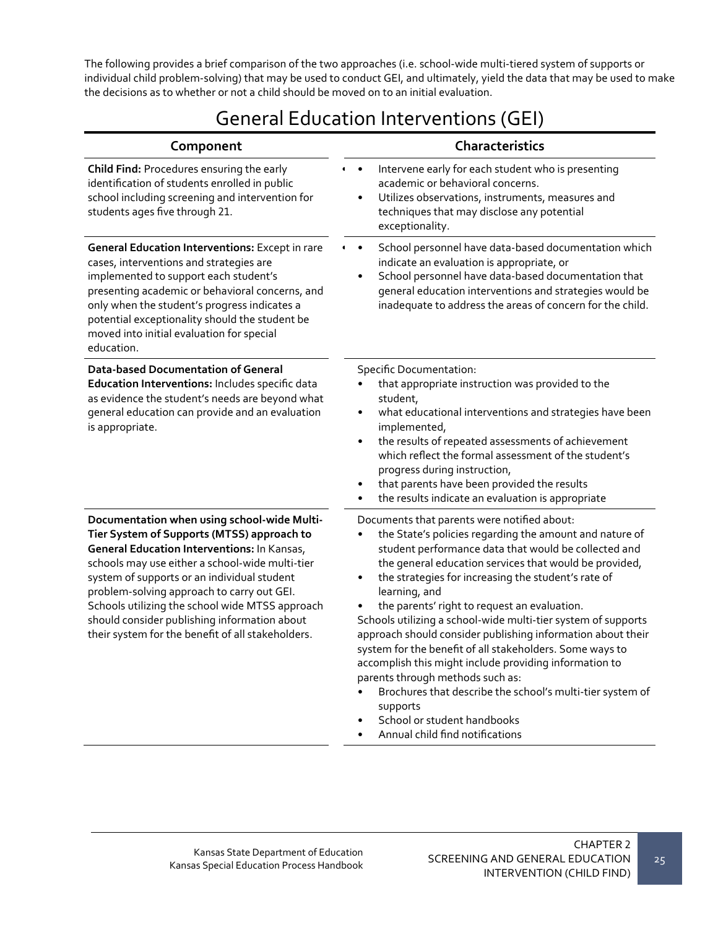The following provides a brief comparison of the two approaches (i.e. school-wide multi-tiered system of supports or individual child problem-solving) that may be used to conduct GEI, and ultimately, yield the data that may be used to make the decisions as to whether or not a child should be moved on to an initial evaluation.

# General Education Interventions (GEI)

| Component                                                                                                                                                                                                                                                                                                                                                                                                                                        | <b>Characteristics</b>                                                                                                                                                                                                                                                                                                                                                                                                                                                                                                                                                                                                                                                                                                                                                                                  |
|--------------------------------------------------------------------------------------------------------------------------------------------------------------------------------------------------------------------------------------------------------------------------------------------------------------------------------------------------------------------------------------------------------------------------------------------------|---------------------------------------------------------------------------------------------------------------------------------------------------------------------------------------------------------------------------------------------------------------------------------------------------------------------------------------------------------------------------------------------------------------------------------------------------------------------------------------------------------------------------------------------------------------------------------------------------------------------------------------------------------------------------------------------------------------------------------------------------------------------------------------------------------|
| Child Find: Procedures ensuring the early<br>identification of students enrolled in public<br>school including screening and intervention for<br>students ages five through 21.                                                                                                                                                                                                                                                                  | Intervene early for each student who is presenting<br>$\bullet$<br>$\blacksquare$<br>academic or behavioral concerns.<br>Utilizes observations, instruments, measures and<br>$\bullet$<br>techniques that may disclose any potential<br>exceptionality.                                                                                                                                                                                                                                                                                                                                                                                                                                                                                                                                                 |
| <b>General Education Interventions: Except in rare</b><br>cases, interventions and strategies are<br>implemented to support each student's<br>presenting academic or behavioral concerns, and<br>only when the student's progress indicates a<br>potential exceptionality should the student be<br>moved into initial evaluation for special<br>education.                                                                                       | School personnel have data-based documentation which<br>$\bullet$<br>indicate an evaluation is appropriate, or<br>School personnel have data-based documentation that<br>general education interventions and strategies would be<br>inadequate to address the areas of concern for the child.                                                                                                                                                                                                                                                                                                                                                                                                                                                                                                           |
| <b>Data-based Documentation of General</b><br>Education Interventions: Includes specific data<br>as evidence the student's needs are beyond what<br>general education can provide and an evaluation<br>is appropriate.                                                                                                                                                                                                                           | <b>Specific Documentation:</b><br>that appropriate instruction was provided to the<br>student,<br>what educational interventions and strategies have been<br>$\bullet$<br>implemented,<br>the results of repeated assessments of achievement<br>$\bullet$<br>which reflect the formal assessment of the student's<br>progress during instruction,<br>that parents have been provided the results<br>$\bullet$<br>the results indicate an evaluation is appropriate<br>٠                                                                                                                                                                                                                                                                                                                                 |
| Documentation when using school-wide Multi-<br>Tier System of Supports (MTSS) approach to<br>General Education Interventions: In Kansas,<br>schools may use either a school-wide multi-tier<br>system of supports or an individual student<br>problem-solving approach to carry out GEI.<br>Schools utilizing the school wide MTSS approach<br>should consider publishing information about<br>their system for the benefit of all stakeholders. | Documents that parents were notified about:<br>the State's policies regarding the amount and nature of<br>٠<br>student performance data that would be collected and<br>the general education services that would be provided,<br>the strategies for increasing the student's rate of<br>$\bullet$<br>learning, and<br>the parents' right to request an evaluation.<br>Schools utilizing a school-wide multi-tier system of supports<br>approach should consider publishing information about their<br>system for the benefit of all stakeholders. Some ways to<br>accomplish this might include providing information to<br>parents through methods such as:<br>Brochures that describe the school's multi-tier system of<br>supports<br>School or student handbooks<br>Annual child find notifications |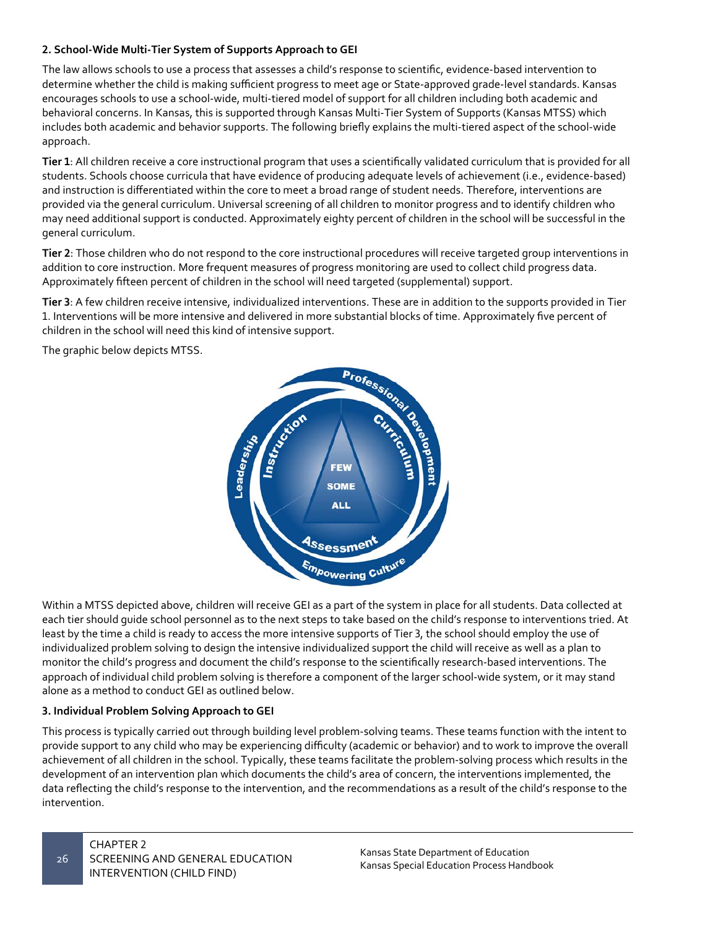#### **2. School-Wide Multi-Tier System of Supports Approach to GEI**

The law allows schools to use a process that assesses a child's response to scientific, evidence-based intervention to determine whether the child is making sufficient progress to meet age or State-approved grade-level standards. Kansas encourages schools to use a school-wide, multi-tiered model of support for all children including both academic and behavioral concerns. In Kansas, this is supported through Kansas Multi-Tier System of Supports (Kansas MTSS) which includes both academic and behavior supports. The following briefly explains the multi-tiered aspect of the school-wide approach.

**Tier 1**: All children receive a core instructional program that uses a scientifically validated curriculum that is provided for all students. Schools choose curricula that have evidence of producing adequate levels of achievement (i.e., evidence-based) and instruction is differentiated within the core to meet a broad range of student needs. Therefore, interventions are provided via the general curriculum. Universal screening of all children to monitor progress and to identify children who may need additional support is conducted. Approximately eighty percent of children in the school will be successful in the general curriculum.

**Tier 2**: Those children who do not respond to the core instructional procedures will receive targeted group interventions in addition to core instruction. More frequent measures of progress monitoring are used to collect child progress data. Approximately fifteen percent of children in the school will need targeted (supplemental) support.

**Tier 3**: A few children receive intensive, individualized interventions. These are in addition to the supports provided in Tier 1. Interventions will be more intensive and delivered in more substantial blocks of time. Approximately five percent of

The graphic below depicts MTSS.



Within a MTSS depicted above, children will receive GEI as a part of the system in place for all students. Data collected at each tier should guide school personnel as to the next steps to take based on the child's response to interventions tried. At least by the time a child is ready to access the more intensive supports of Tier 3, the school should employ the use of individualized problem solving to design the intensive individualized support the child will receive as well as a plan to monitor the child's progress and document the child's response to the scientifically research-based interventions. The approach of individual child problem solving is therefore a component of the larger school-wide system, or it may stand alone as a method to conduct GEI as outlined below.

#### **3. Individual Problem Solving Approach to GEI**

This process is typically carried out through building level problem-solving teams. These teams function with the intent to provide support to any child who may be experiencing difficulty (academic or behavior) and to work to improve the overall achievement of all children in the school. Typically, these teams facilitate the problem-solving process which results in the development of an intervention plan which documents the child's area of concern, the interventions implemented, the data reflecting the child's response to the intervention, and the recommendations as a result of the child's response to the intervention.

26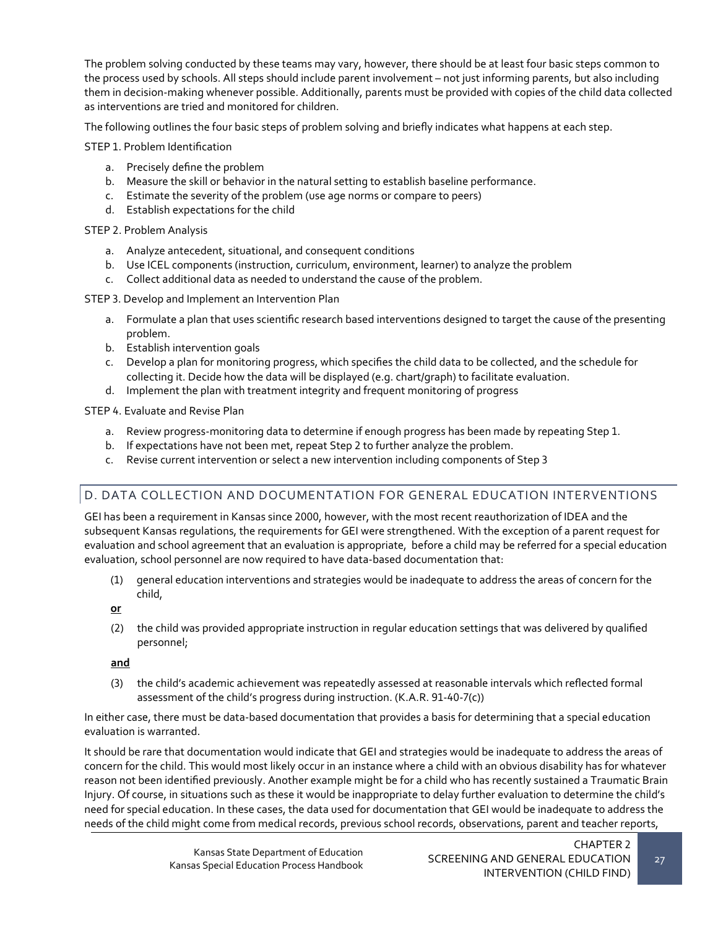The problem solving conducted by these teams may vary, however, there should be at least four basic steps common to the process used by schools. All steps should include parent involvement – not just informing parents, but also including them in decision-making whenever possible. Additionally, parents must be provided with copies of the child data collected as interventions are tried and monitored for children.

The following outlines the four basic steps of problem solving and briefly indicates what happens at each step.

STEP 1. Problem Identification

- a. Precisely define the problem
- b. Measure the skill or behavior in the natural setting to establish baseline performance.
- c. Estimate the severity of the problem (use age norms or compare to peers)
- d. Establish expectations for the child

STEP 2. Problem Analysis

- a. Analyze antecedent, situational, and consequent conditions
- b. Use ICEL components (instruction, curriculum, environment, learner) to analyze the problem
- c. Collect additional data as needed to understand the cause of the problem.

STEP 3. Develop and Implement an Intervention Plan

- a. Formulate a plan that uses scientific research based interventions designed to target the cause of the presenting problem.
- b. Establish intervention goals
- c. Develop a plan for monitoring progress, which specifies the child data to be collected, and the schedule for collecting it. Decide how the data will be displayed (e.g. chart/graph) to facilitate evaluation.
- d. Implement the plan with treatment integrity and frequent monitoring of progress

STEP 4. Evaluate and Revise Plan

- a. Review progress-monitoring data to determine if enough progress has been made by repeating Step 1.
- b. If expectations have not been met, repeat Step 2 to further analyze the problem.
- c. Revise current intervention or select a new intervention including components of Step 3

# D. DATA COLLECTION AND DOCUMENTATION FOR GENERAL EDUCATION INTERVENTIONS

GEI has been a requirement in Kansas since 2000, however, with the most recent reauthorization of IDEA and the subsequent Kansas regulations, the requirements for GEI were strengthened. With the exception of a parent request for evaluation and school agreement that an evaluation is appropriate, before a child may be referred for a special education evaluation, school personnel are now required to have data-based documentation that:

(1) general education interventions and strategies would be inadequate to address the areas of concern for the child,

**or** 

(2) the child was provided appropriate instruction in regular education settings that was delivered by qualified personnel;

## **and**

(3) the child's academic achievement was repeatedly assessed at reasonable intervals which reflected formal assessment of the child's progress during instruction. (K.A.R. 91-40-7(c))

In either case, there must be data-based documentation that provides a basis for determining that a special education evaluation is warranted.

It should be rare that documentation would indicate that GEI and strategies would be inadequate to address the areas of concern for the child. This would most likely occur in an instance where a child with an obvious disability has for whatever reason not been identified previously. Another example might be for a child who has recently sustained a Traumatic Brain Injury. Of course, in situations such as these it would be inappropriate to delay further evaluation to determine the child's need for special education. In these cases, the data used for documentation that GEI would be inadequate to address the needs of the child might come from medical records, previous school records, observations, parent and teacher reports,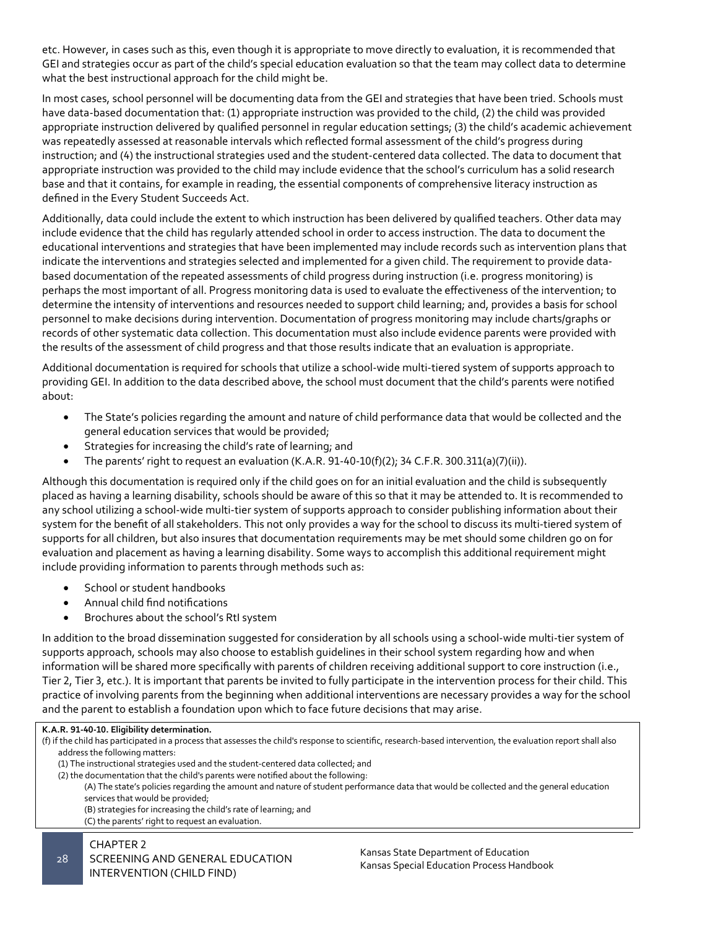etc. However, in cases such as this, even though it is appropriate to move directly to evaluation, it is recommended that GEI and strategies occur as part of the child's special education evaluation so that the team may collect data to determine what the best instructional approach for the child might be.

In most cases, school personnel will be documenting data from the GEI and strategies that have been tried. Schools must have data-based documentation that: (1) appropriate instruction was provided to the child, (2) the child was provided appropriate instruction delivered by qualified personnel in regular education settings; (3) the child's academic achievement was repeatedly assessed at reasonable intervals which reflected formal assessment of the child's progress during instruction; and (4) the instructional strategies used and the student-centered data collected. The data to document that appropriate instruction was provided to the child may include evidence that the school's curriculum has a solid research base and that it contains, for example in reading, the essential components of comprehensive literacy instruction as defined in the Every Student Succeeds Act.

Additionally, data could include the extent to which instruction has been delivered by qualified teachers. Other data may include evidence that the child has regularly attended school in order to access instruction. The data to document the educational interventions and strategies that have been implemented may include records such as intervention plans that indicate the interventions and strategies selected and implemented for a given child. The requirement to provide databased documentation of the repeated assessments of child progress during instruction (i.e. progress monitoring) is perhaps the most important of all. Progress monitoring data is used to evaluate the effectiveness of the intervention; to determine the intensity of interventions and resources needed to support child learning; and, provides a basis for school personnel to make decisions during intervention. Documentation of progress monitoring may include charts/graphs or records of other systematic data collection. This documentation must also include evidence parents were provided with the results of the assessment of child progress and that those results indicate that an evaluation is appropriate.

Additional documentation is required for schools that utilize a school-wide multi-tiered system of supports approach to providing GEI. In addition to the data described above, the school must document that the child's parents were notified about:

- The State's policies regarding the amount and nature of child performance data that would be collected and the general education services that would be provided;
- Strategies for increasing the child's rate of learning; and
- The parents' right to request an evaluation (K.A.R. 91-40-10(f)(2); 34 C.F.R. 300.311(a)(7)(ii)).

Although this documentation is required only if the child goes on for an initial evaluation and the child is subsequently placed as having a learning disability, schools should be aware of this so that it may be attended to. It is recommended to any school utilizing a school-wide multi-tier system of supports approach to consider publishing information about their system for the benefit of all stakeholders. This not only provides a way for the school to discuss its multi-tiered system of supports for all children, but also insures that documentation requirements may be met should some children go on for evaluation and placement as having a learning disability. Some ways to accomplish this additional requirement might include providing information to parents through methods such as:

- School or student handbooks
- Annual child find notifications
- Brochures about the school's RtI system

In addition to the broad dissemination suggested for consideration by all schools using a school-wide multi-tier system of supports approach, schools may also choose to establish guidelines in their school system regarding how and when information will be shared more specifically with parents of children receiving additional support to core instruction (i.e., Tier 2, Tier 3, etc.). It is important that parents be invited to fully participate in the intervention process for their child. This practice of involving parents from the beginning when additional interventions are necessary provides a way for the school and the parent to establish a foundation upon which to face future decisions that may arise.

#### CHAPTER 2 **K.A.R. 91-40-10. Eligibility determination.** (f) if the child has participated in a process that assesses the child's response to scientific, research-based intervention, the evaluation report shall also address the following matters: (1) The instructional strategies used and the student-centered data collected; and (2) the documentation that the child's parents were notified about the following: (A) The state's policies regarding the amount and nature of student performance data that would be collected and the general education services that would be provided; (B) strategies for increasing the child's rate of learning; and (C) the parents' right to request an evaluation.

SCREENING AND GENERAL EDUCATION INTERVENTION (CHILD FIND)

Kansas State Department of Education Kansas Special Education Process Handbook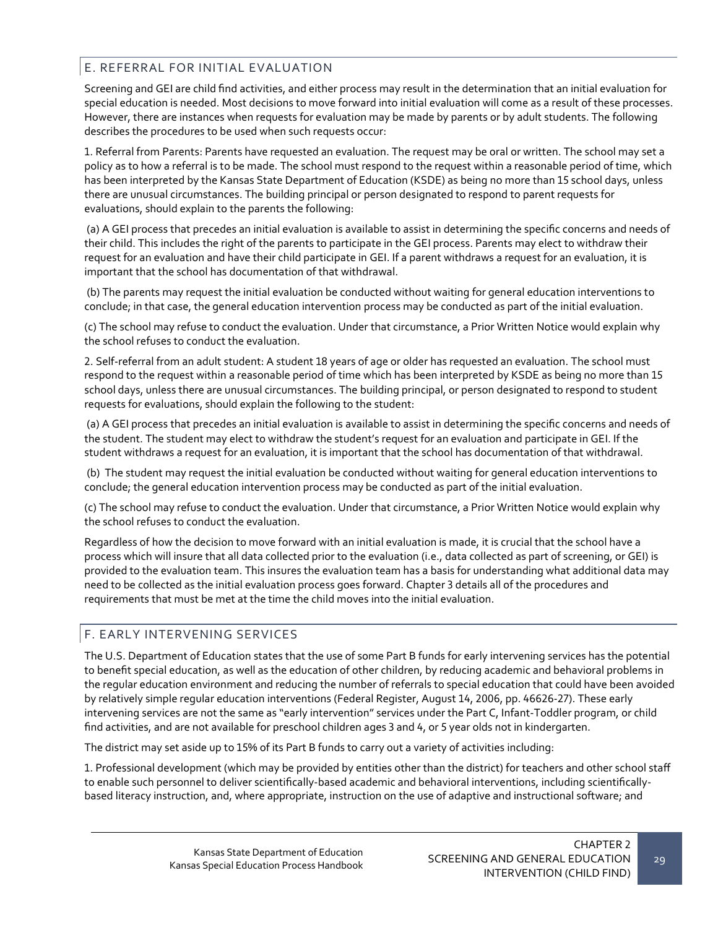# E. REFERRAL FOR INITIAL EVALUATION

Screening and GEI are child find activities, and either process may result in the determination that an initial evaluation for special education is needed. Most decisions to move forward into initial evaluation will come as a result of these processes. However, there are instances when requests for evaluation may be made by parents or by adult students. The following describes the procedures to be used when such requests occur:

1. Referral from Parents: Parents have requested an evaluation. The request may be oral or written. The school may set a policy as to how a referral is to be made. The school must respond to the request within a reasonable period of time, which has been interpreted by the Kansas State Department of Education (KSDE) as being no more than 15 school days, unless there are unusual circumstances. The building principal or person designated to respond to parent requests for evaluations, should explain to the parents the following:

(a) A GEI process that precedes an initial evaluation is available to assist in determining the specific concerns and needs of their child. This includes the right of the parents to participate in the GEI process. Parents may elect to withdraw their request for an evaluation and have their child participate in GEI. If a parent withdraws a request for an evaluation, it is important that the school has documentation of that withdrawal.

(b) The parents may request the initial evaluation be conducted without waiting for general education interventions to conclude; in that case, the general education intervention process may be conducted as part of the initial evaluation.

(c) The school may refuse to conduct the evaluation. Under that circumstance, a Prior Written Notice would explain why the school refuses to conduct the evaluation.

2. Self-referral from an adult student: A student 18 years of age or older has requested an evaluation. The school must respond to the request within a reasonable period of time which has been interpreted by KSDE as being no more than 15 school days, unless there are unusual circumstances. The building principal, or person designated to respond to student requests for evaluations, should explain the following to the student:

(a) A GEI process that precedes an initial evaluation is available to assist in determining the specific concerns and needs of the student. The student may elect to withdraw the student's request for an evaluation and participate in GEI. If the student withdraws a request for an evaluation, it is important that the school has documentation of that withdrawal.

(b) The student may request the initial evaluation be conducted without waiting for general education interventions to conclude; the general education intervention process may be conducted as part of the initial evaluation.

(c) The school may refuse to conduct the evaluation. Under that circumstance, a Prior Written Notice would explain why the school refuses to conduct the evaluation.

Regardless of how the decision to move forward with an initial evaluation is made, it is crucial that the school have a process which will insure that all data collected prior to the evaluation (i.e., data collected as part of screening, or GEI) is provided to the evaluation team. This insures the evaluation team has a basis for understanding what additional data may need to be collected as the initial evaluation process goes forward. Chapter 3 details all of the procedures and requirements that must be met at the time the child moves into the initial evaluation.

# F. EARLY INTERVENING SERVICES

The U.S. Department of Education states that the use of some Part B funds for early intervening services has the potential to benefit special education, as well as the education of other children, by reducing academic and behavioral problems in the regular education environment and reducing the number of referrals to special education that could have been avoided by relatively simple regular education interventions (Federal Register, August 14, 2006, pp. 46626-27). These early intervening services are not the same as "early intervention" services under the Part C, Infant-Toddler program, or child find activities, and are not available for preschool children ages 3 and 4, or 5 year olds not in kindergarten.

The district may set aside up to 15% of its Part B funds to carry out a variety of activities including:

1. Professional development (which may be provided by entities other than the district) for teachers and other school staff to enable such personnel to deliver scientifically-based academic and behavioral interventions, including scientificallybased literacy instruction, and, where appropriate, instruction on the use of adaptive and instructional software; and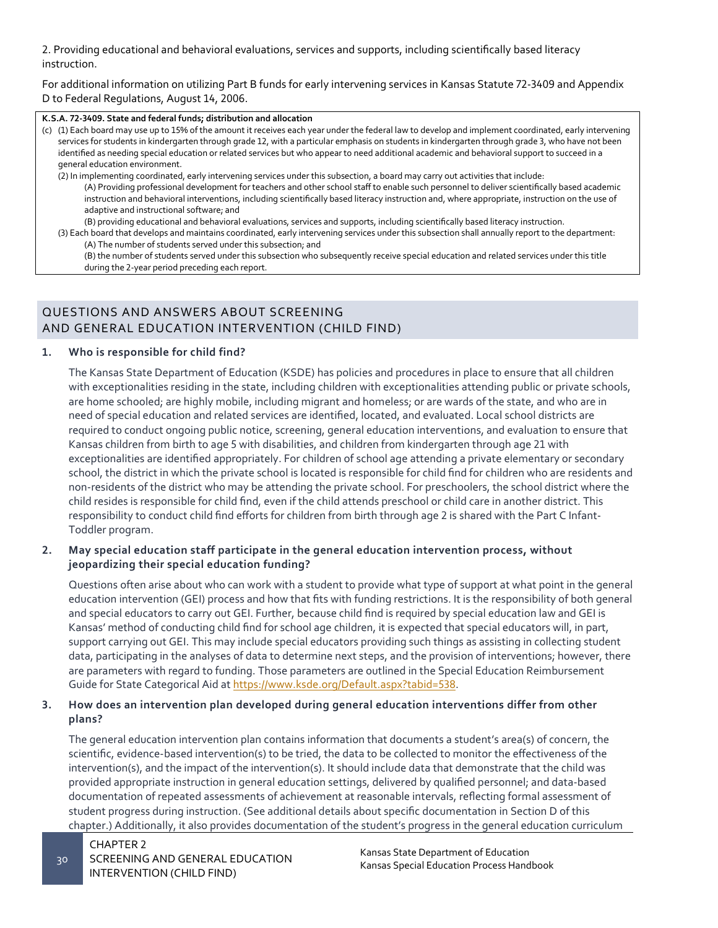2. Providing educational and behavioral evaluations, services and supports, including scientifically based literacy instruction.

For additional information on utilizing Part B funds for early intervening services in Kansas Statute 72-3409 and Appendix D to Federal Regulations, August 14, 2006.

#### **K.S.A. 72-3409. State and federal funds; distribution and allocation**

(c) (1) Each board may use up to 15% of the amount it receives each year under the federal law to develop and implement coordinated, early intervening services for students in kindergarten through grade 12, with a particular emphasis on students in kindergarten through grade 3, who have not been identified as needing special education or related services but who appear to need additional academic and behavioral support to succeed in a general education environment.

(2) In implementing coordinated, early intervening services under this subsection, a board may carry out activities that include: (A) Providing professional development for teachers and other school staff to enable such personnel to deliver scientifically based academic instruction and behavioral interventions, including scientifically based literacy instruction and, where appropriate, instruction on the use of adaptive and instructional software; and

(B) providing educational and behavioral evaluations, services and supports, including scientifically based literacy instruction.

(3) Each board that develops and maintains coordinated, early intervening services under this subsection shall annually report to the department: (A) The number of students served under this subsection; and

(B) the number of students served under this subsection who subsequently receive special education and related services under this title during the 2-year period preceding each report.

# QUESTIONS AND ANSWERS ABOUT SCREENING AND GENERAL EDUCATION INTERVENTION (CHILD FIND)

#### **1. Who is responsible for child find?**

The Kansas State Department of Education (KSDE) has policies and procedures in place to ensure that all children with exceptionalities residing in the state, including children with exceptionalities attending public or private schools, are home schooled; are highly mobile, including migrant and homeless; or are wards of the state, and who are in need of special education and related services are identified, located, and evaluated. Local school districts are required to conduct ongoing public notice, screening, general education interventions, and evaluation to ensure that Kansas children from birth to age 5 with disabilities, and children from kindergarten through age 21 with exceptionalities are identified appropriately. For children of school age attending a private elementary or secondary school, the district in which the private school is located is responsible for child find for children who are residents and non-residents of the district who may be attending the private school. For preschoolers, the school district where the child resides is responsible for child find, even if the child attends preschool or child care in another district. This responsibility to conduct child find efforts for children from birth through age 2 is shared with the Part C Infant-Toddler program.

#### **2. May special education staff participate in the general education intervention process, without jeopardizing their special education funding?**

Questions often arise about who can work with a student to provide what type of support at what point in the general education intervention (GEI) process and how that fits with funding restrictions. It is the responsibility of both general and special educators to carry out GEI. Further, because child find is required by special education law and GEI is Kansas' method of conducting child find for school age children, it is expected that special educators will, in part, support carrying out GEI. This may include special educators providing such things as assisting in collecting student data, participating in the analyses of data to determine next steps, and the provision of interventions; however, there are parameters with regard to funding. Those parameters are outlined in the Special Education Reimbursement Guide for State Categorical Aid at <https://www.ksde.org/Default.aspx?tabid=538>.

#### **3. How does an intervention plan developed during general education interventions differ from other plans?**

The general education intervention plan contains information that documents a student's area(s) of concern, the scientific, evidence-based intervention(s) to be tried, the data to be collected to monitor the effectiveness of the intervention(s), and the impact of the intervention(s). It should include data that demonstrate that the child was provided appropriate instruction in general education settings, delivered by qualified personnel; and data-based documentation of repeated assessments of achievement at reasonable intervals, reflecting formal assessment of student progress during instruction. (See additional details about specific documentation in Section D of this chapter.) Additionally, it also provides documentation of the student's progress in the general education curriculum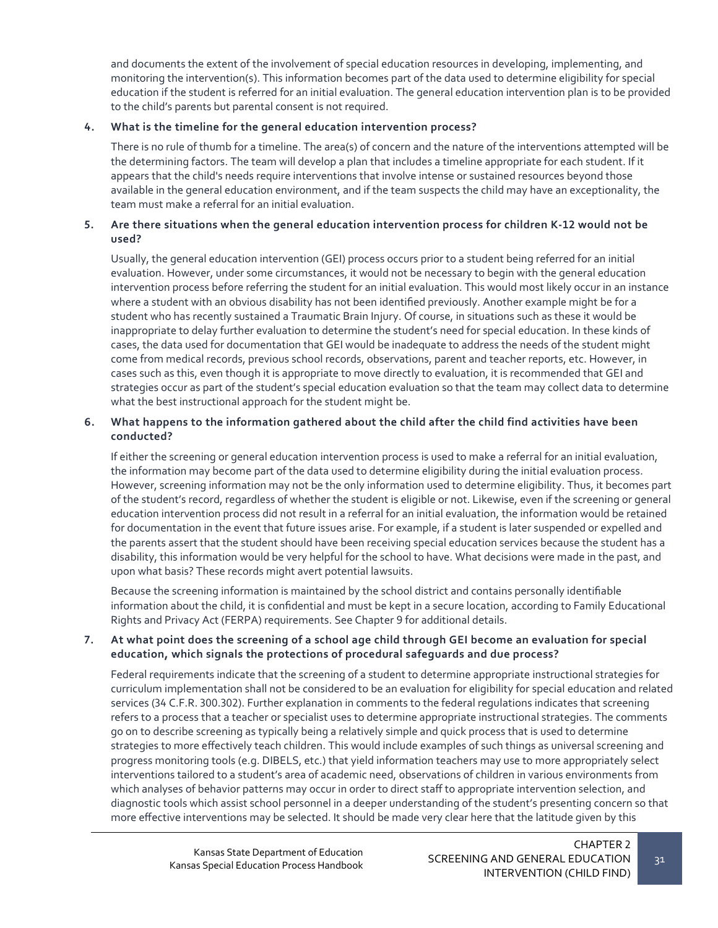and documents the extent of the involvement of special education resources in developing, implementing, and monitoring the intervention(s). This information becomes part of the data used to determine eligibility for special education if the student is referred for an initial evaluation. The general education intervention plan is to be provided to the child's parents but parental consent is not required.

#### **4. What is the timeline for the general education intervention process?**

There is no rule of thumb for a timeline. The area(s) of concern and the nature of the interventions attempted will be the determining factors. The team will develop a plan that includes a timeline appropriate for each student. If it appears that the child's needs require interventions that involve intense or sustained resources beyond those available in the general education environment, and if the team suspects the child may have an exceptionality, the team must make a referral for an initial evaluation.

#### **5. Are there situations when the general education intervention process for children K-12 would not be used?**

Usually, the general education intervention (GEI) process occurs prior to a student being referred for an initial evaluation. However, under some circumstances, it would not be necessary to begin with the general education intervention process before referring the student for an initial evaluation. This would most likely occur in an instance where a student with an obvious disability has not been identified previously. Another example might be for a student who has recently sustained a Traumatic Brain Injury. Of course, in situations such as these it would be inappropriate to delay further evaluation to determine the student's need for special education. In these kinds of cases, the data used for documentation that GEI would be inadequate to address the needs of the student might come from medical records, previous school records, observations, parent and teacher reports, etc. However, in cases such as this, even though it is appropriate to move directly to evaluation, it is recommended that GEI and strategies occur as part of the student's special education evaluation so that the team may collect data to determine what the best instructional approach for the student might be.

#### **6. What happens to the information gathered about the child after the child find activities have been conducted?**

If either the screening or general education intervention process is used to make a referral for an initial evaluation, the information may become part of the data used to determine eligibility during the initial evaluation process. However, screening information may not be the only information used to determine eligibility. Thus, it becomes part of the student's record, regardless of whether the student is eligible or not. Likewise, even if the screening or general education intervention process did not result in a referral for an initial evaluation, the information would be retained for documentation in the event that future issues arise. For example, if a student is later suspended or expelled and the parents assert that the student should have been receiving special education services because the student has a disability, this information would be very helpful for the school to have. What decisions were made in the past, and upon what basis? These records might avert potential lawsuits.

Because the screening information is maintained by the school district and contains personally identifiable information about the child, it is confidential and must be kept in a secure location, according to Family Educational Rights and Privacy Act (FERPA) requirements. See Chapter 9 for additional details.

#### **7. At what point does the screening of a school age child through GEI become an evaluation for special education, which signals the protections of procedural safeguards and due process?**

Federal requirements indicate that the screening of a student to determine appropriate instructional strategies for curriculum implementation shall not be considered to be an evaluation for eligibility for special education and related services (34 C.F.R. 300.302). Further explanation in comments to the federal regulations indicates that screening refers to a process that a teacher or specialist uses to determine appropriate instructional strategies. The comments go on to describe screening as typically being a relatively simple and quick process that is used to determine strategies to more effectively teach children. This would include examples of such things as universal screening and progress monitoring tools (e.g. DIBELS, etc.) that yield information teachers may use to more appropriately select interventions tailored to a student's area of academic need, observations of children in various environments from which analyses of behavior patterns may occur in order to direct staff to appropriate intervention selection, and diagnostic tools which assist school personnel in a deeper understanding of the student's presenting concern so that more effective interventions may be selected. It should be made very clear here that the latitude given by this